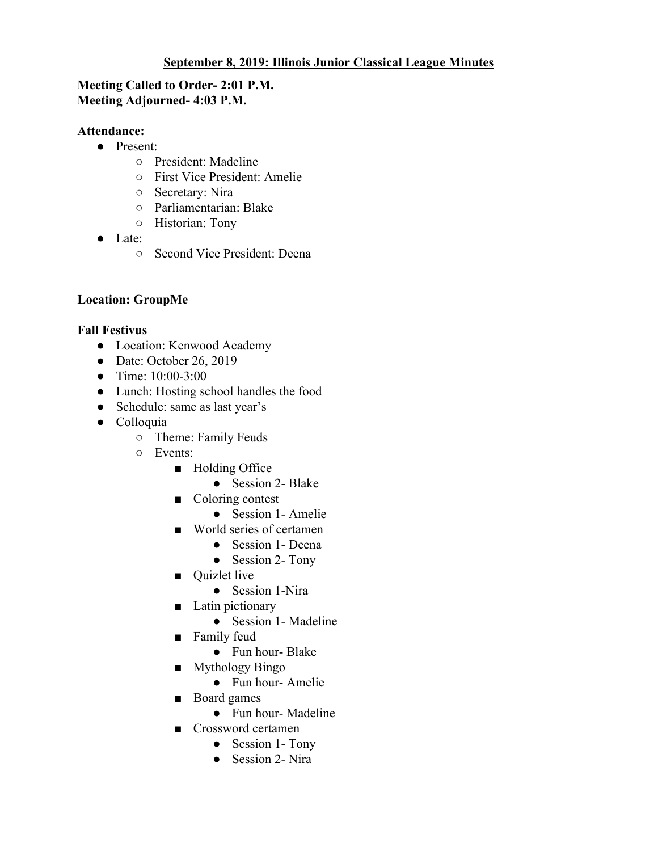#### **September 8, 2019: Illinois Junior Classical League Minutes**

### **Meeting Called to Order- 2:01 P.M. Meeting Adjourned- 4:03 P.M.**

### **Attendance:**

- Present:
	- President: Madeline
	- First Vice President: Amelie
	- Secretary: Nira
	- Parliamentarian: Blake
	- Historian: Tony
- Late:
	- Second Vice President: Deena

# **Location: GroupMe**

## **Fall Festivus**

- Location: Kenwood Academy
- $\bullet$  Date: October 26, 2019
- Time: 10:00-3:00
- Lunch: Hosting school handles the food
- Schedule: same as last year's
- Colloquia
	- Theme: Family Feuds
	- Events:
		- Holding Office
			- Session 2- Blake
		- Coloring contest
			- Session 1- Amelie
		- World series of certamen
			- Session 1- Deena
			- Session 2- Tony
		- Ouizlet live
			- Session 1-Nira
		- Latin pictionary
			- Session 1- Madeline
		- Family feud
			- Fun hour- Blake
		- Mythology Bingo
			- Fun hour- Amelie
		- Board games
			- Fun hour- Madeline
		- Crossword certamen
			- Session 1- Tony
			- Session 2- Nira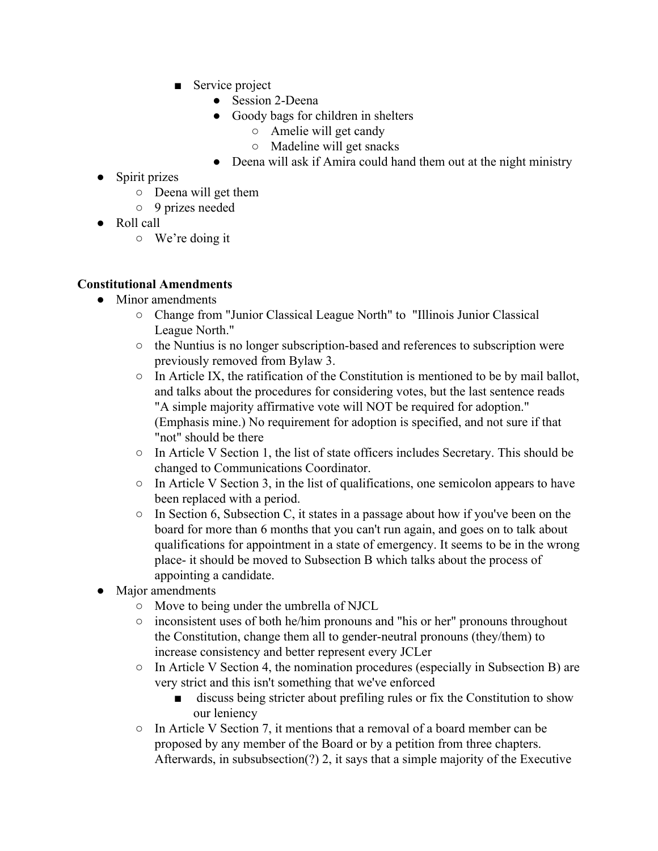- Service project
	- Session 2-Deena
	- Goody bags for children in shelters
		- Amelie will get candy
		- Madeline will get snacks
	- Deena will ask if Amira could hand them out at the night ministry
- Spirit prizes
	- Deena will get them
	- 9 prizes needed
- Roll call
	- We're doing it

## **Constitutional Amendments**

- Minor amendments
	- Change from "Junior Classical League North" to "Illinois Junior Classical League North."
	- $\circ$  the Nuntius is no longer subscription-based and references to subscription were previously removed from Bylaw 3.
	- $\circ$  In Article IX, the ratification of the Constitution is mentioned to be by mail ballot, and talks about the procedures for considering votes, but the last sentence reads "A simple majority affirmative vote will NOT be required for adoption." (Emphasis mine.) No requirement for adoption is specified, and not sure if that "not" should be there
	- $\circ$  In Article V Section 1, the list of state officers includes Secretary. This should be changed to Communications Coordinator.
	- $\circ$  In Article V Section 3, in the list of qualifications, one semicolon appears to have been replaced with a period.
	- $\circ$  In Section 6, Subsection C, it states in a passage about how if you've been on the board for more than 6 months that you can't run again, and goes on to talk about qualifications for appointment in a state of emergency. It seems to be in the wrong place- it should be moved to Subsection B which talks about the process of appointing a candidate.
- Major amendments
	- Move to being under the umbrella of NJCL
	- inconsistent uses of both he/him pronouns and "his or her" pronouns throughout the Constitution, change them all to gender-neutral pronouns (they/them) to increase consistency and better represent every JCLer
	- In Article V Section 4, the nomination procedures (especially in Subsection B) are very strict and this isn't something that we've enforced
		- discuss being stricter about prefiling rules or fix the Constitution to show our leniency
	- $\circ$  In Article V Section 7, it mentions that a removal of a board member can be proposed by any member of the Board or by a petition from three chapters. Afterwards, in subsubsection(?) 2, it says that a simple majority of the Executive